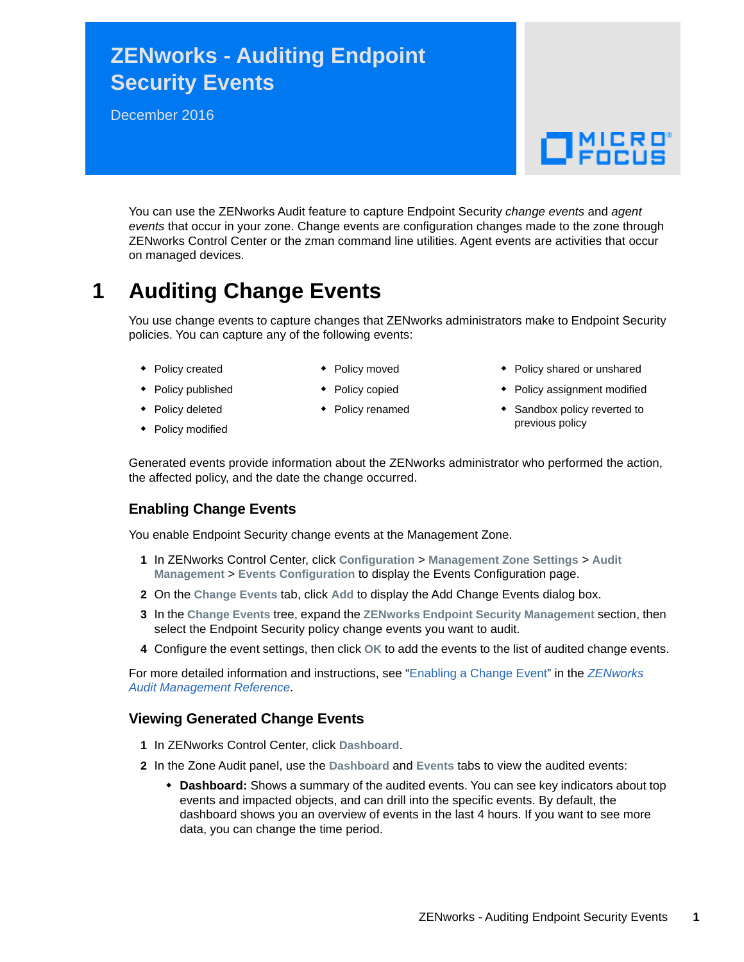# **ZENworks - Auditing Endpoint Security Events**

December 2016

# $\Box$ MICRO'

You can use the ZENworks Audit feature to capture Endpoint Security *change events* and *agent events* that occur in your zone. Change events are configuration changes made to the zone through ZENworks Control Center or the zman command line utilities. Agent events are activities that occur on managed devices.

## **1 Auditing Change Events**

You use change events to capture changes that ZENworks administrators make to Endpoint Security policies. You can capture any of the following events:

- Policy created
- Policy moved ◆ Policy copied
- Policy published
- Policy deleted
- Policy modified
- Policy renamed
- Policy shared or unshared
- Policy assignment modified
- Sandbox policy reverted to previous policy

Generated events provide information about the ZENworks administrator who performed the action, the affected policy, and the date the change occurred.

### **Enabling Change Events**

You enable Endpoint Security change events at the Management Zone.

- **1** In ZENworks Control Center, click **Configuration** > **Management Zone Settings** > **Audit Management** > **Events Configuration** to display the Events Configuration page.
- **2** On the **Change Events** tab, click **Add** to display the Add Change Events dialog box.
- **3** In the **Change Events** tree, expand the **ZENworks Endpoint Security Management** section, then select the Endpoint Security policy change events you want to audit.
- **4** Configure the event settings, then click **OK** to add the events to the list of audited change events.

For more detailed information and instructions, see ["Enabling a Change Event](https://www.novell.com/documentation/zenworks2017/pdfdoc/zen_audit_management/zen_audit_management.pdf#b16qrf3y)" in the *[ZENworks](https://www.novell.com/documentation/zenworks2017/pdfdoc/zen_audit_management/zen_audit_management.pdf#bookinfo)  Audit Management Reference*.

#### **Viewing Generated Change Events**

- **1** In ZENworks Control Center, click **Dashboard**.
- **2** In the Zone Audit panel, use the **Dashboard** and **Events** tabs to view the audited events:
	- **Dashboard:** Shows a summary of the audited events. You can see key indicators about top events and impacted objects, and can drill into the specific events. By default, the dashboard shows you an overview of events in the last 4 hours. If you want to see more data, you can change the time period.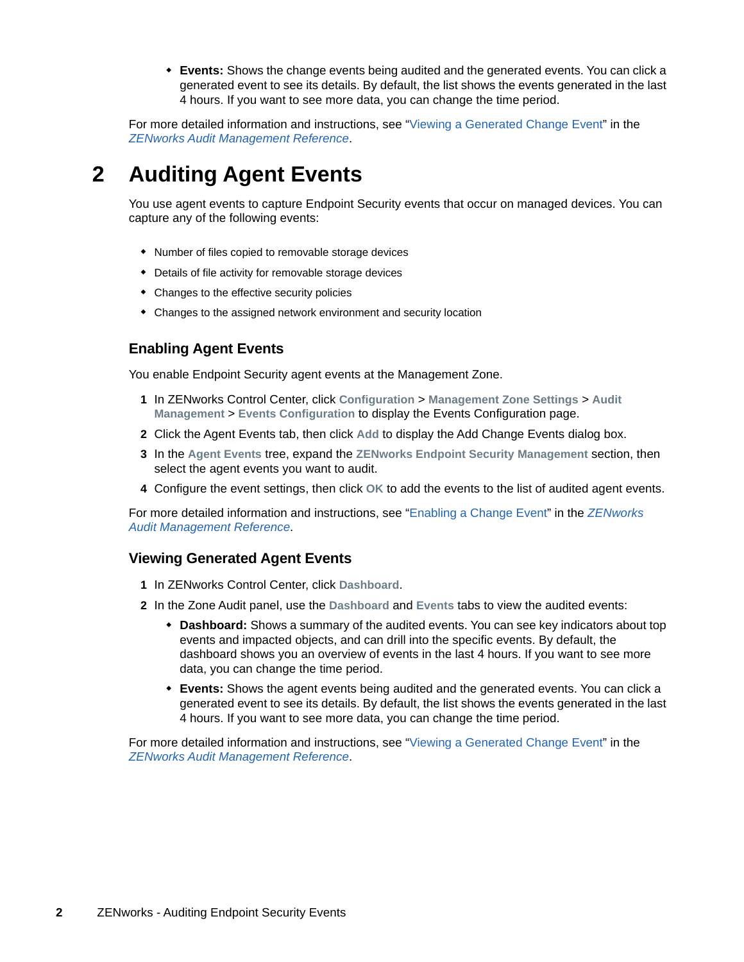**Events:** Shows the change events being audited and the generated events. You can click a generated event to see its details. By default, the list shows the events generated in the last 4 hours. If you want to see more data, you can change the time period.

For more detailed information and instructions, see ["Viewing a Generated Change Event](https://www.novell.com/documentation/zenworks2017/pdfdoc/zen_audit_management/zen_audit_management.pdf#b16qs25l)" in the *[ZENworks Audit Management Reference](https://www.novell.com/documentation/zenworks2017/pdfdoc/zen_audit_management/zen_audit_management.pdf#bookinfo)*.

## **2 Auditing Agent Events**

You use agent events to capture Endpoint Security events that occur on managed devices. You can capture any of the following events:

- Number of files copied to removable storage devices
- Details of file activity for removable storage devices
- Changes to the effective security policies
- Changes to the assigned network environment and security location

## **Enabling Agent Events**

You enable Endpoint Security agent events at the Management Zone.

- **1** In ZENworks Control Center, click **Configuration** > **Management Zone Settings** > **Audit Management** > **Events Configuration** to display the Events Configuration page.
- **2** Click the Agent Events tab, then click **Add** to display the Add Change Events dialog box.
- **3** In the **Agent Events** tree, expand the **ZENworks Endpoint Security Management** section, then select the agent events you want to audit.
- **4** Configure the event settings, then click **OK** to add the events to the list of audited agent events.

For more detailed information and instructions, see ["Enabling a Change Event](https://www.novell.com/documentation/zenworks2017/pdfdoc/zen_audit_management/zen_audit_management.pdf#b16qrf3y)" in the *[ZENworks](https://www.novell.com/documentation/zenworks2017/pdfdoc/zen_audit_management/zen_audit_management.pdf#bookinfo)  Audit Management Reference*.

#### **Viewing Generated Agent Events**

- **1** In ZENworks Control Center, click **Dashboard**.
- **2** In the Zone Audit panel, use the **Dashboard** and **Events** tabs to view the audited events:
	- **Dashboard:** Shows a summary of the audited events. You can see key indicators about top events and impacted objects, and can drill into the specific events. By default, the dashboard shows you an overview of events in the last 4 hours. If you want to see more data, you can change the time period.
	- **Events:** Shows the agent events being audited and the generated events. You can click a generated event to see its details. By default, the list shows the events generated in the last 4 hours. If you want to see more data, you can change the time period.

For more detailed information and instructions, see ["Viewing a Generated Change Event](https://www.novell.com/documentation/zenworks2017/pdfdoc/zen_audit_management/zen_audit_management.pdf#b16qs25l)" in the *[ZENworks Audit Management Reference](https://www.novell.com/documentation/zenworks2017/pdfdoc/zen_audit_management/zen_audit_management.pdf#bookinfo)*.